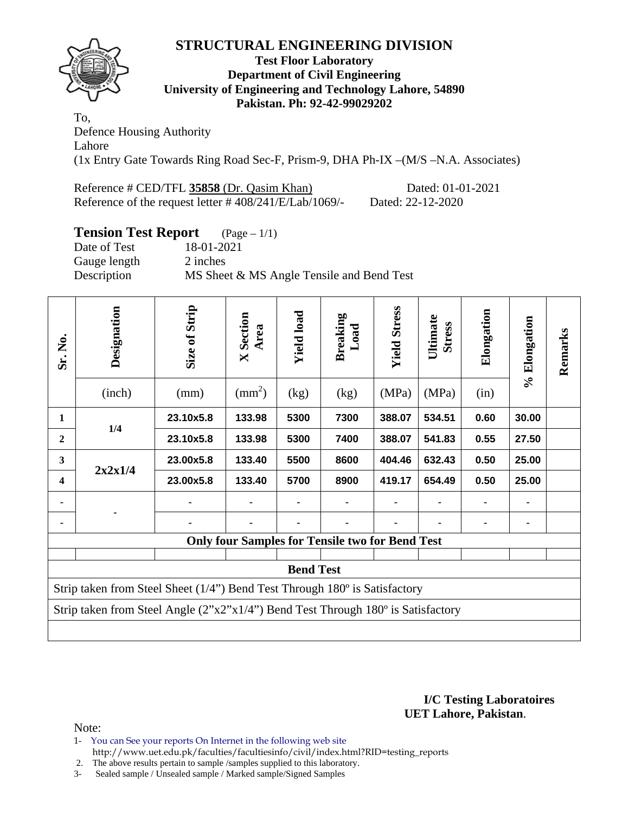

#### **Test Floor Laboratory Department of Civil Engineering University of Engineering and Technology Lahore, 54890 Pakistan. Ph: 92-42-99029202**

To, Defence Housing Authority Lahore (1x Entry Gate Towards Ring Road Sec-F, Prism-9, DHA Ph-IX –(M/S –N.A. Associates)

Reference # CED/TFL 35858 (Dr. Qasim Khan) Dated: 01-01-2021 Reference of the request letter # 408/241/E/Lab/1069/- Dated: 22-12-2020

## **Tension Test Report** (Page – 1/1)

Date of Test 18-01-2021 Gauge length 2 inches Description MS Sheet & MS Angle Tensile and Bend Test

| Sr. No.                 | Designation<br>(inch)                                                                             | Size of Strip<br>(mm) | <b>X</b> Section<br>Area<br>$\text{mm}^2$ ) | <b>Yield load</b><br>(kg) | <b>Breaking</b><br>Load<br>(kg)                        | <b>Yield Stress</b><br>(MPa) | Ultimate<br><b>Stress</b><br>(MPa) | Elongation<br>(in) | % Elongation | Remarks |  |  |
|-------------------------|---------------------------------------------------------------------------------------------------|-----------------------|---------------------------------------------|---------------------------|--------------------------------------------------------|------------------------------|------------------------------------|--------------------|--------------|---------|--|--|
| $\mathbf{1}$            |                                                                                                   | 23.10x5.8             | 133.98                                      | 5300                      | 7300                                                   | 388.07                       | 534.51                             | 0.60               | 30.00        |         |  |  |
|                         | 1/4                                                                                               |                       |                                             |                           |                                                        |                              |                                    |                    |              |         |  |  |
| $\boldsymbol{2}$        |                                                                                                   | 23.10x5.8             | 133.98                                      | 5300                      | 7400                                                   | 388.07                       | 541.83                             | 0.55               | 27.50        |         |  |  |
| $\overline{\mathbf{3}}$ |                                                                                                   | 23.00x5.8             | 133.40                                      | 5500                      | 8600                                                   | 404.46                       | 632.43                             | 0.50               | 25.00        |         |  |  |
| $\overline{\mathbf{4}}$ | 2x2x1/4                                                                                           | 23.00x5.8             | 133.40                                      | 5700                      | 8900                                                   | 419.17                       | 654.49                             | 0.50               | 25.00        |         |  |  |
|                         |                                                                                                   |                       |                                             |                           |                                                        |                              |                                    |                    |              |         |  |  |
|                         |                                                                                                   |                       |                                             |                           |                                                        |                              |                                    |                    | ۰            |         |  |  |
|                         |                                                                                                   |                       |                                             |                           | <b>Only four Samples for Tensile two for Bend Test</b> |                              |                                    |                    |              |         |  |  |
|                         |                                                                                                   |                       |                                             |                           |                                                        |                              |                                    |                    |              |         |  |  |
| <b>Bend Test</b>        |                                                                                                   |                       |                                             |                           |                                                        |                              |                                    |                    |              |         |  |  |
|                         | Strip taken from Steel Sheet $(1/4)$ <sup>"</sup> ) Bend Test Through $180^\circ$ is Satisfactory |                       |                                             |                           |                                                        |                              |                                    |                    |              |         |  |  |
|                         | Strip taken from Steel Angle (2"x2"x1/4") Bend Test Through 180° is Satisfactory                  |                       |                                             |                           |                                                        |                              |                                    |                    |              |         |  |  |
|                         |                                                                                                   |                       |                                             |                           |                                                        |                              |                                    |                    |              |         |  |  |

**I/C Testing Laboratoires UET Lahore, Pakistan**.

Note:

- 1- You can See your reports On Internet in the following web site http://www.uet.edu.pk/faculties/facultiesinfo/civil/index.html?RID=testing\_reports
- 2. The above results pertain to sample /samples supplied to this laboratory.
- 3- Sealed sample / Unsealed sample / Marked sample/Signed Samples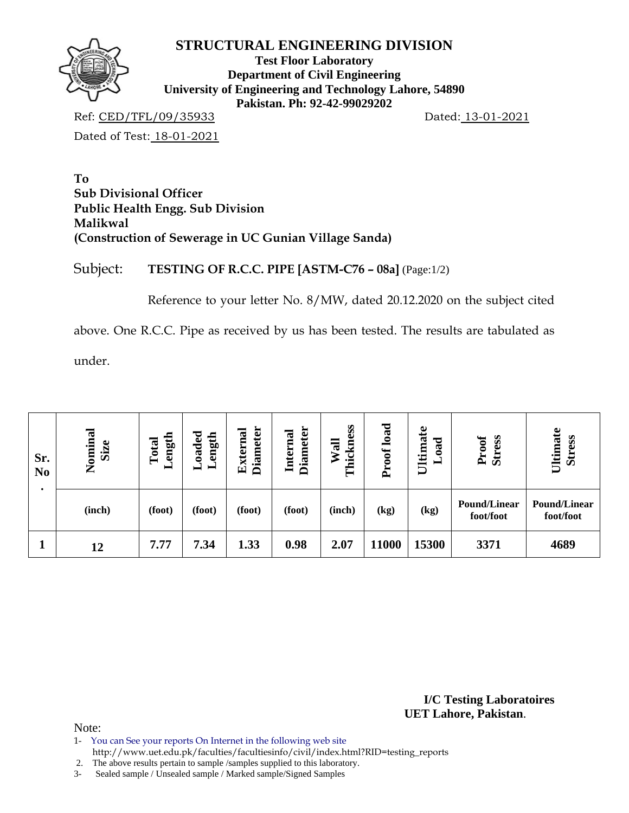

**Test Floor Laboratory Department of Civil Engineering University of Engineering and Technology Lahore, 54890 Pakistan. Ph: 92-42-99029202** 

Ref: CED/TFL/09/35933 Dated: 13-01-2021

Dated of Test: 18-01-2021

**To Sub Divisional Officer Public Health Engg. Sub Division Malikwal (Construction of Sewerage in UC Gunian Village Sanda)** 

Subject: **TESTING OF R.C.C. PIPE [ASTM-C76 – 08a]** (Page:1/2)

Reference to your letter No. 8/MW, dated 20.12.2020 on the subject cited

above. One R.C.C. Pipe as received by us has been tested. The results are tabulated as

under.

| Sr.<br>N <sub>0</sub> | Nominal<br>Size | oaded.<br>ength<br>ength<br>Total<br>$\blacksquare$<br>— |        | <b>Diameter</b><br><b>Diameter</b><br>External<br>Internal |        | load<br>Thickness<br>Wall<br>Proof |       | Ultimate<br><b>bad</b><br>⊨ | <b>Stress</b><br>Proof           | Ultimate<br><b>Stress</b>        |  |
|-----------------------|-----------------|----------------------------------------------------------|--------|------------------------------------------------------------|--------|------------------------------------|-------|-----------------------------|----------------------------------|----------------------------------|--|
|                       | (inch)          | (foot)                                                   | (foot) | (foot)                                                     | (foot) | (inch)                             | (kg)  | (kg)                        | <b>Pound/Linear</b><br>foot/foot | <b>Pound/Linear</b><br>foot/foot |  |
|                       | 12              | 7.77                                                     | 7.34   | 1.33                                                       | 0.98   | 2.07                               | 11000 | 15300                       | 3371                             | 4689                             |  |

**I/C Testing Laboratoires UET Lahore, Pakistan**.

Note:

1- You can See your reports On Internet in the following web site

http://www.uet.edu.pk/faculties/facultiesinfo/civil/index.html?RID=testing\_reports

2. The above results pertain to sample /samples supplied to this laboratory.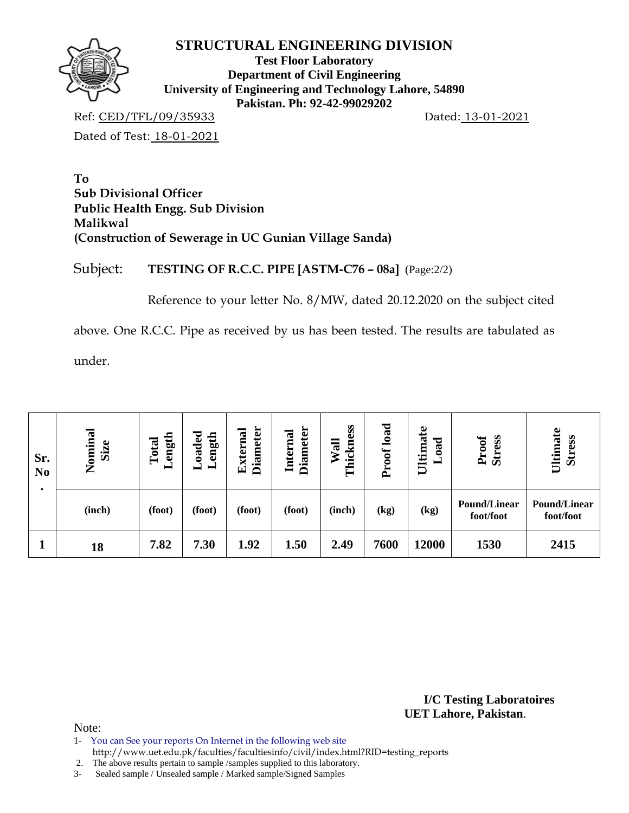

**Test Floor Laboratory Department of Civil Engineering University of Engineering and Technology Lahore, 54890 Pakistan. Ph: 92-42-99029202** 

Ref: CED/TFL/09/35933 Dated: 13-01-2021

Dated of Test: 18-01-2021

**To Sub Divisional Officer Public Health Engg. Sub Division Malikwal (Construction of Sewerage in UC Gunian Village Sanda)** 

Subject: **TESTING OF R.C.C. PIPE [ASTM-C76 – 08a]** (Page:2/2)

Reference to your letter No. 8/MW, dated 20.12.2020 on the subject cited

above. One R.C.C. Pipe as received by us has been tested. The results are tabulated as

under.

| Sr.<br>N <sub>0</sub> | Nominal<br>Size | oaded.<br>ength<br><b>Angth</b><br>Total<br>$\blacksquare$<br>— |        | <b>Diameter</b><br><b>Diameter</b><br>External<br>Internal |        | load<br>Thickness<br>Wall<br>Proof |      | Ultimate<br><b>bad</b><br>⊣ | <b>Stress</b><br>Proof           | Ultimate<br><b>Stress</b>        |  |
|-----------------------|-----------------|-----------------------------------------------------------------|--------|------------------------------------------------------------|--------|------------------------------------|------|-----------------------------|----------------------------------|----------------------------------|--|
|                       | (inch)          | (foot)                                                          | (foot) | (foot)                                                     | (foot) | (inch)                             | (kg) | (kg)                        | <b>Pound/Linear</b><br>foot/foot | <b>Pound/Linear</b><br>foot/foot |  |
|                       | 18              | 7.82                                                            | 7.30   | 1.92                                                       | 1.50   | 2.49                               | 7600 | 12000                       | 1530                             | 2415                             |  |

**I/C Testing Laboratoires UET Lahore, Pakistan**.

Note:

1- You can See your reports On Internet in the following web site

http://www.uet.edu.pk/faculties/facultiesinfo/civil/index.html?RID=testing\_reports

2. The above results pertain to sample /samples supplied to this laboratory.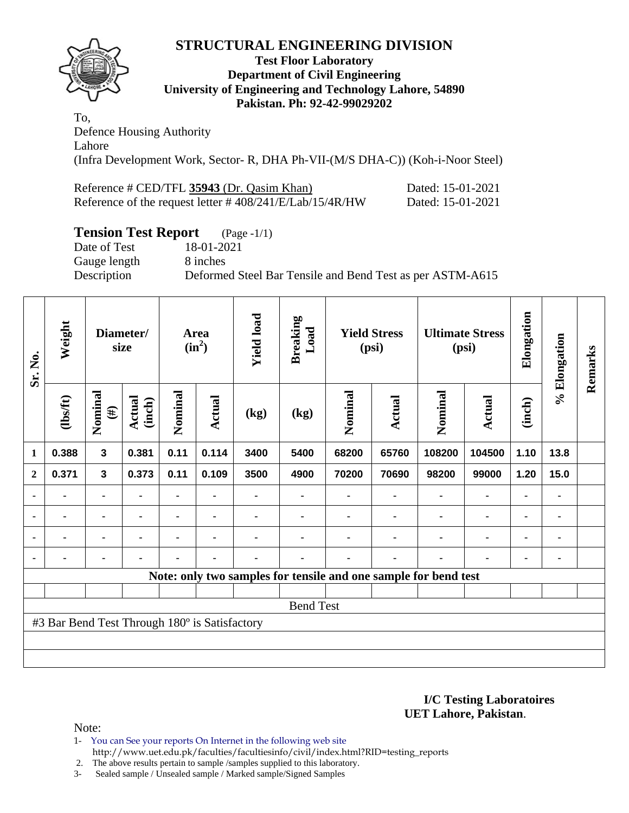

#### **Test Floor Laboratory Department of Civil Engineering University of Engineering and Technology Lahore, 54890 Pakistan. Ph: 92-42-99029202**

To, Defence Housing Authority Lahore (Infra Development Work, Sector- R, DHA Ph-VII-(M/S DHA-C)) (Koh-i-Noor Steel)

| Reference # CED/TFL 35943 (Dr. Qasim Khan)                  | Dated: 15-01-2021 |
|-------------------------------------------------------------|-------------------|
| Reference of the request letter $\# 408/241/E/Lab/15/4R/HW$ | Dated: 15-01-2021 |

## **Tension Test Report** (Page -1/1)

Gauge length 8 inches

Date of Test 18-01-2021 Description Deformed Steel Bar Tensile and Bend Test as per ASTM-A615

| Sr. No.        | Weight                                                          |                   | Diameter/<br>size       |                | Area<br>$(in^2)$ | <b>Yield load</b> | <b>Breaking</b><br>Load |         | <b>Yield Stress</b><br>(psi) | <b>Ultimate Stress</b><br>(psi) |                | Elongation     | % Elongation   | Remarks |
|----------------|-----------------------------------------------------------------|-------------------|-------------------------|----------------|------------------|-------------------|-------------------------|---------|------------------------------|---------------------------------|----------------|----------------|----------------|---------|
|                | (1bsft)                                                         | Nominal<br>$(\#)$ | <b>Actual</b><br>(inch) | Nominal        | Actual           | (kg)              | (kg)                    | Nominal | Actual                       | Nominal                         | Actual         | (inch)         |                |         |
| $\mathbf{1}$   | 0.388                                                           | $\mathbf{3}$      | 0.381                   | 0.11           | 0.114            | 3400              | 5400                    | 68200   | 65760                        | 108200                          | 104500         | 1.10           | 13.8           |         |
| $\overline{2}$ | 0.371                                                           | $\mathbf{3}$      | 0.373                   | 0.11           | 0.109            | 3500              | 4900                    | 70200   | 70690                        | 98200                           | 99000          | 1.20           | 15.0           |         |
|                |                                                                 | ۰                 |                         |                |                  |                   |                         |         |                              |                                 | $\blacksquare$ | ۰              |                |         |
|                | ۰                                                               | $\blacksquare$    | $\blacksquare$          | ۰              | $\blacksquare$   |                   |                         |         | ۰                            | $\blacksquare$                  | $\blacksquare$ | $\blacksquare$ | $\blacksquare$ |         |
|                | $\blacksquare$                                                  | ۰                 |                         | $\blacksquare$ | $\blacksquare$   |                   |                         |         | $\blacksquare$               |                                 | $\blacksquare$ | $\blacksquare$ |                |         |
|                | $\blacksquare$                                                  | ۰                 |                         | $\blacksquare$ | $\blacksquare$   | $\blacksquare$    |                         |         | ۰                            |                                 | $\blacksquare$ | ۰              | ٠              |         |
|                | Note: only two samples for tensile and one sample for bend test |                   |                         |                |                  |                   |                         |         |                              |                                 |                |                |                |         |
|                |                                                                 |                   |                         |                |                  |                   |                         |         |                              |                                 |                |                |                |         |
|                |                                                                 |                   |                         |                |                  |                   | <b>Bend Test</b>        |         |                              |                                 |                |                |                |         |
|                | #3 Bar Bend Test Through 180° is Satisfactory                   |                   |                         |                |                  |                   |                         |         |                              |                                 |                |                |                |         |
|                |                                                                 |                   |                         |                |                  |                   |                         |         |                              |                                 |                |                |                |         |
|                |                                                                 |                   |                         |                |                  |                   |                         |         |                              |                                 |                |                |                |         |

**I/C Testing Laboratoires UET Lahore, Pakistan**.

Note:

1- You can See your reports On Internet in the following web site http://www.uet.edu.pk/faculties/facultiesinfo/civil/index.html?RID=testing\_reports

2. The above results pertain to sample /samples supplied to this laboratory.